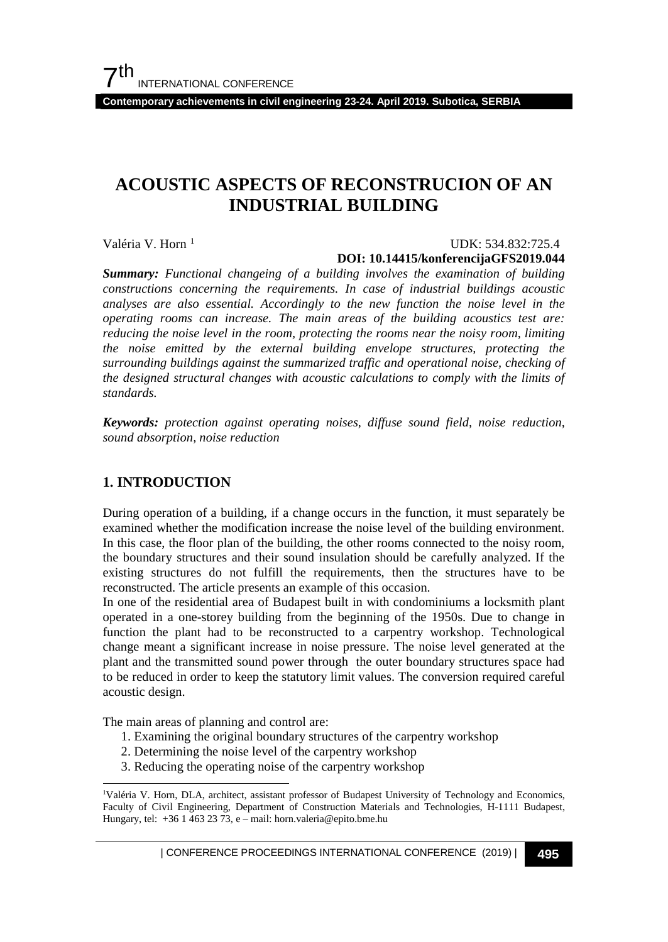**Contemporary achievements in civil engineering 23-24. April 2019. Subotica, SERBIA**

## **ACOUSTIC ASPECTS OF RECONSTRUCION OF AN INDUSTRIAL BUILDING**

Valéria V. Horn<sup>[1](#page-0-0)</sup>

#### UDK: 534.832:725.4 **DOI: 10.14415/konferencijaGFS2019.044**

*Summary: Functional changeing of a building involves the examination of building constructions concerning the requirements. In case of industrial buildings acoustic analyses are also essential. Accordingly to the new function the noise level in the operating rooms can increase. The main areas of the building acoustics test are: reducing the noise level in the room, protecting the rooms near the noisy room, limiting the noise emitted by the external building envelope structures, protecting the surrounding buildings against the summarized traffic and operational noise, checking of the designed structural changes with acoustic calculations to comply with the limits of standards.*

*Keywords: protection against operating noises, diffuse sound field, noise reduction, sound absorption, noise reduction*

## **1. INTRODUCTION**

During operation of a building, if a change occurs in the function, it must separately be examined whether the modification increase the noise level of the building environment. In this case, the floor plan of the building, the other rooms connected to the noisy room, the boundary structures and their sound insulation should be carefully analyzed. If the existing structures do not fulfill the requirements, then the structures have to be reconstructed. The article presents an example of this occasion.

In one of the residential area of Budapest built in with condominiums a locksmith plant operated in a one-storey building from the beginning of the 1950s. Due to change in function the plant had to be reconstructed to a carpentry workshop. Technological change meant a significant increase in noise pressure. The noise level generated at the plant and the transmitted sound power through the outer boundary structures space had to be reduced in order to keep the statutory limit values. The conversion required careful acoustic design.

The main areas of planning and control are:

- 1. Examining the original boundary structures of the carpentry workshop
- 2. Determining the noise level of the carpentry workshop
- 3. Reducing the operating noise of the carpentry workshop

| CONFERENCE PROCEEDINGS INTERNATIONAL CONFERENCE (2019) <sup>|</sup>**495**

<span id="page-0-0"></span><sup>|&</sup>lt;br>|<br>| <sup>1</sup>Valéria V. Horn, DLA, architect, assistant professor of Budapest University of Technology and Economics, Faculty of Civil Engineering, Department of Construction Materials and Technologies, H-1111 Budapest, Hungary, tel: +36 1 463 23 73, e – mail: horn.valeria@epito.bme.hu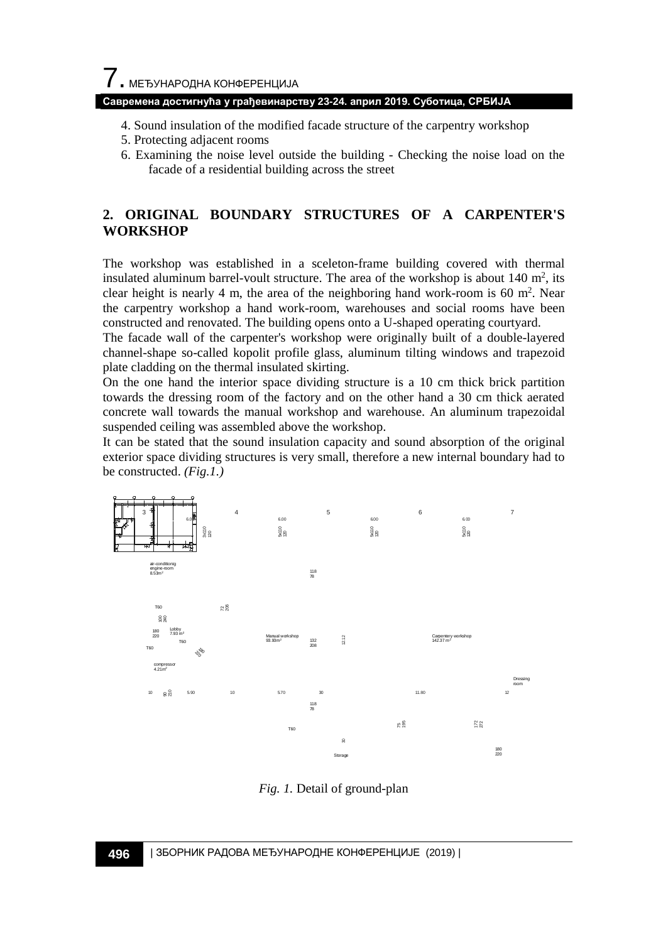#### **Савремена достигнућа у грађевинарству 23-24. април 2019. Суботица, СРБИЈА**

- 4. Sound insulation of the modified facade structure of the carpentry workshop
- 5. Protecting adjacent rooms
- 6. Examining the noise level outside the building Checking the noise load on the facade of a residential building across the street

## **2. ORIGINAL BOUNDARY STRUCTURES OF A CARPENTER'S WORKSHOP**

The workshop was established in a sceleton-frame building covered with thermal insulated aluminum barrel-voult structure. The area of the workshop is about  $140 \text{ m}^2$ , its clear height is nearly 4 m, the area of the neighboring hand work-room is 60  $m<sup>2</sup>$ . Near the carpentry workshop a hand work-room, warehouses and social rooms have been constructed and renovated. The building opens onto a U-shaped operating courtyard.

The facade wall of the carpenter's workshop were originally built of a double-layered channel-shape so-called kopolit profile glass, aluminum tilting windows and trapezoid plate cladding on the thermal insulated skirting.

On the one hand the interior space dividing structure is a 10 cm thick brick partition towards the dressing room of the factory and on the other hand a 30 cm thick aerated concrete wall towards the manual workshop and warehouse. An aluminum trapezoidal suspended ceiling was assembled above the workshop.

It can be stated that the sound insulation capacity and sound absorption of the original exterior space dividing structures is very small, therefore a new internal boundary had to be constructed. *(Fig.1.)*



*Fig. 1.* Detail of ground-plan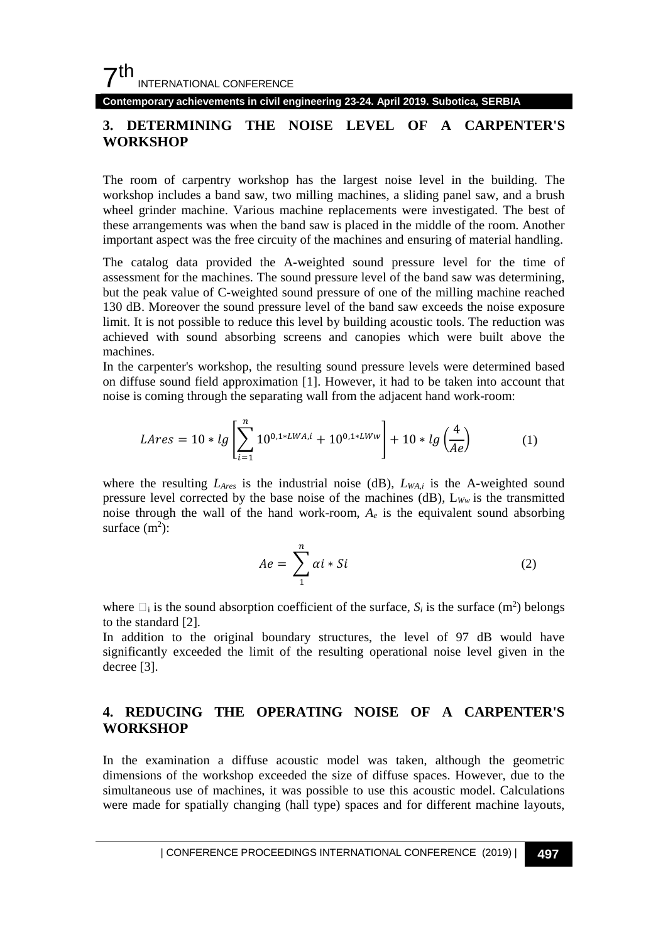**Contemporary achievements in civil engineering 23-24. April 2019. Subotica, SERBIA**

## **3. DETERMINING THE NOISE LEVEL OF A CARPENTER'S WORKSHOP**

The room of carpentry workshop has the largest noise level in the building. The workshop includes a band saw, two milling machines, a sliding panel saw, and a brush wheel grinder machine. Various machine replacements were investigated. The best of these arrangements was when the band saw is placed in the middle of the room. Another important aspect was the free circuity of the machines and ensuring of material handling.

The catalog data provided the A-weighted sound pressure level for the time of assessment for the machines. The sound pressure level of the band saw was determining, but the peak value of C-weighted sound pressure of one of the milling machine reached 130 dB. Moreover the sound pressure level of the band saw exceeds the noise exposure limit. It is not possible to reduce this level by building acoustic tools. The reduction was achieved with sound absorbing screens and canopies which were built above the machines.

In the carpenter's workshop, the resulting sound pressure levels were determined based on diffuse sound field approximation [1]. However, it had to be taken into account that noise is coming through the separating wall from the adjacent hand work-room:

$$
Lares = 10 * lg \left[ \sum_{i=1}^{n} 10^{0.1 * LWA, i} + 10^{0.1 * LWW} \right] + 10 * lg \left( \frac{4}{Ae} \right)
$$
 (1)

where the resulting  $L_{\text{Ares}}$  is the industrial noise (dB),  $L_{\text{WA},i}$  is the A-weighted sound pressure level corrected by the base noise of the machines ( $dB$ ),  $L_{Ww}$  is the transmitted noise through the wall of the hand work-room,  $A_e$  is the equivalent sound absorbing surface  $(m^2)$ :

$$
Ae = \sum_{1}^{n} \alpha i * Si \tag{2}
$$

where  $\Box_i$  is the sound absorption coefficient of the surface,  $S_i$  is the surface (m<sup>2</sup>) belongs to the standard [2].

In addition to the original boundary structures, the level of 97 dB would have significantly exceeded the limit of the resulting operational noise level given in the decree [3].

## **4. REDUCING THE OPERATING NOISE OF A CARPENTER'S WORKSHOP**

In the examination a diffuse acoustic model was taken, although the geometric dimensions of the workshop exceeded the size of diffuse spaces. However, due to the simultaneous use of machines, it was possible to use this acoustic model. Calculations were made for spatially changing (hall type) spaces and for different machine layouts,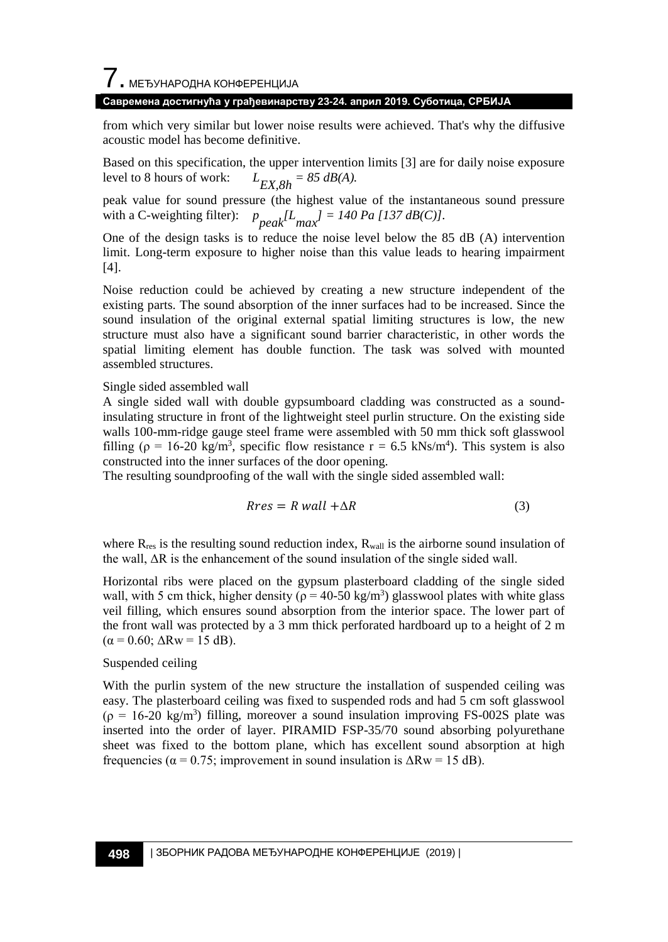7. МЕЂУНАРОДНА КОНФЕРЕНЦИЈА

#### **Савремена достигнућа у грађевинарству 23-24. април 2019. Суботица, СРБИЈА**

from which very similar but lower noise results were achieved. That's why the diffusive acoustic model has become definitive.

Based on this specification, the upper intervention limits [3] are for daily noise exposure level to 8 hours of work:  $L_{EX,8h} = 85 \text{ dB}(A).$ 

peak value for sound pressure (the highest value of the instantaneous sound pressure with a C-weighting filter):  $p_{peak}^{T}$   $\left| I_{max}^{T} \right| = 140$  Pa [137 dB(C)].

One of the design tasks is to reduce the noise level below the 85 dB (A) intervention limit. Long-term exposure to higher noise than this value leads to hearing impairment [4].

Noise reduction could be achieved by creating a new structure independent of the existing parts. The sound absorption of the inner surfaces had to be increased. Since the sound insulation of the original external spatial limiting structures is low, the new structure must also have a significant sound barrier characteristic, in other words the spatial limiting element has double function. The task was solved with mounted assembled structures.

#### Single sided assembled wall

A single sided wall with double gypsumboard cladding was constructed as a soundinsulating structure in front of the lightweight steel purlin structure. On the existing side walls 100-mm-ridge gauge steel frame were assembled with 50 mm thick soft glasswool filling ( $\rho = 16{\text -}20 \text{ kg/m}^3$ , specific flow resistance  $r = 6.5 \text{ kNs/m}^4$ ). This system is also constructed into the inner surfaces of the door opening.

The resulting soundproofing of the wall with the single sided assembled wall:

$$
Rres = R wall + \Delta R \tag{3}
$$

where  $R_{res}$  is the resulting sound reduction index,  $R_{wall}$  is the airborne sound insulation of the wall,  $\Delta R$  is the enhancement of the sound insulation of the single sided wall.

Horizontal ribs were placed on the gypsum plasterboard cladding of the single sided wall, with 5 cm thick, higher density ( $\rho = 40{\text -}50 \text{ kg/m}^3$ ) glasswool plates with white glass veil filling, which ensures sound absorption from the interior space. The lower part of the front wall was protected by a 3 mm thick perforated hardboard up to a height of 2 m  $(\alpha = 0.60; \Delta \text{Rw} = 15 \text{ dB}).$ 

#### Suspended ceiling

With the purlin system of the new structure the installation of suspended ceiling was easy. The plasterboard ceiling was fixed to suspended rods and had 5 cm soft glasswool  $(\rho = 16{\text -}20 \text{ kg/m}^3)$  filling, moreover a sound insulation improving FS-002S plate was inserted into the order of layer. PIRAMID FSP-35/70 sound absorbing polyurethane sheet was fixed to the bottom plane, which has excellent sound absorption at high frequencies ( $\alpha$  = 0.75; improvement in sound insulation is  $\Delta \text{Rw}$  = 15 dB).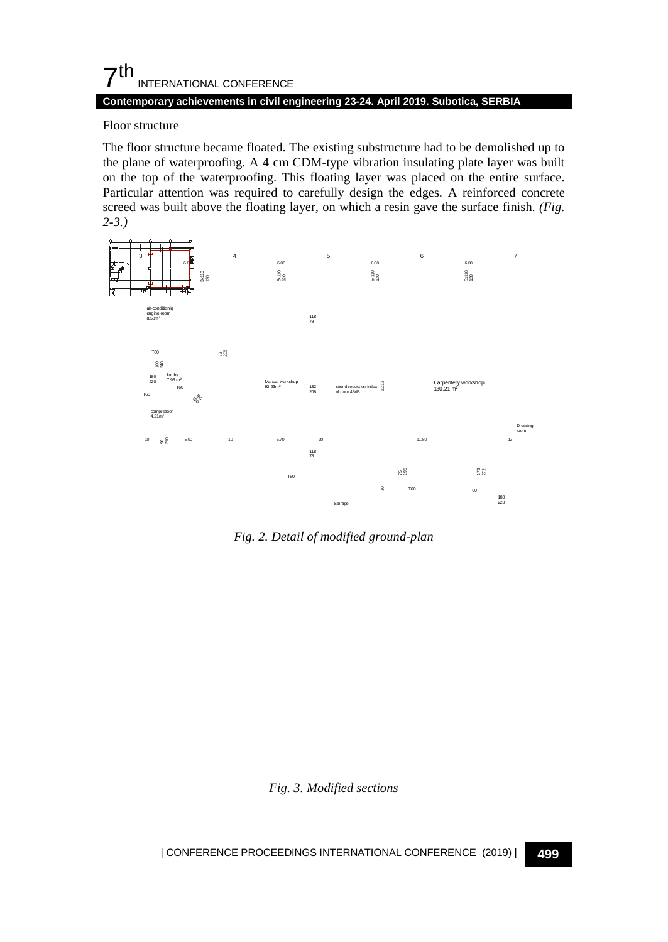## $\mathsf{\Sigma}^{\mathsf{th}}$ INTERNATIONAL CONFERENCE

### **Contemporary achievements in civil engineering 23-24. April 2019. Subotica, SERBIA**

#### Floor structure

The floor structure became floated. The existing substructure had to be demolished up to the plane of waterproofing. A 4 cm CDM-type vibration insulating plate layer was built on the top of the waterproofing. This floating layer was placed on the entire surface. Particular attention was required to carefully design the edges. A reinforced concrete screed was built above the floating layer, on which a resin gave the surface finish. *(Fig. 2-3.)*



*Fig. 2. Detail of modified ground-plan*

#### *Fig. 3. Modified sections*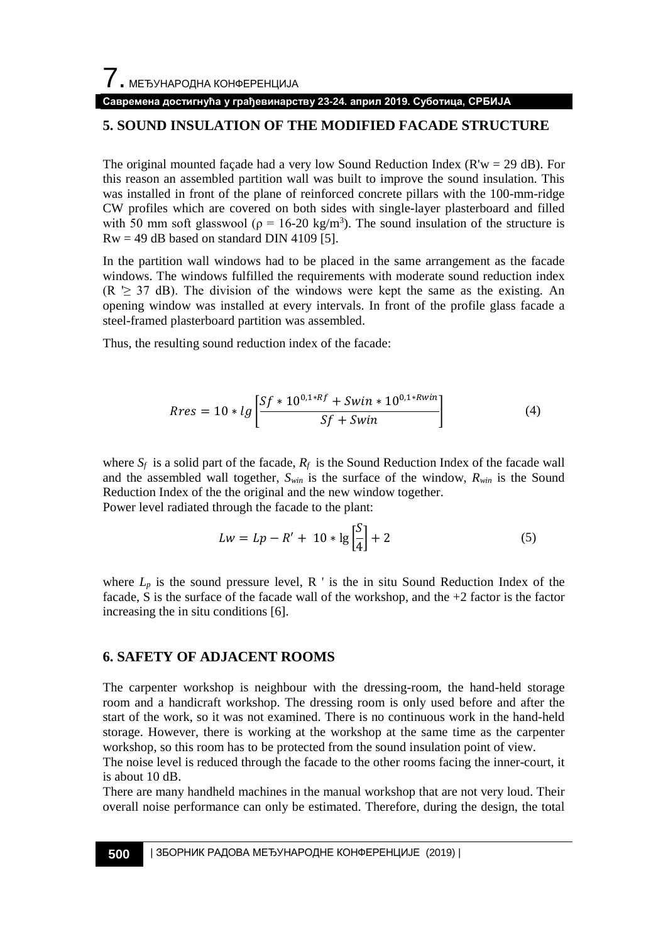#### **Савремена достигнућа у грађевинарству 23-24. април 2019. Суботица, СРБИЈА**

## **5. SOUND INSULATION OF THE MODIFIED FACADE STRUCTURE**

The original mounted façade had a very low Sound Reduction Index ( $R'w = 29$  dB). For this reason an assembled partition wall was built to improve the sound insulation. This was installed in front of the plane of reinforced concrete pillars with the 100-mm-ridge CW profiles which are covered on both sides with single-layer plasterboard and filled with 50 mm soft glasswool ( $p = 16-20 \text{ kg/m}^3$ ). The sound insulation of the structure is  $Rw = 49$  dB based on standard DIN 4109 [5].

In the partition wall windows had to be placed in the same arrangement as the facade windows. The windows fulfilled the requirements with moderate sound reduction index (R  $\geq$  37 dB). The division of the windows were kept the same as the existing. An opening window was installed at every intervals. In front of the profile glass facade a steel-framed plasterboard partition was assembled.

Thus, the resulting sound reduction index of the facade:

$$
Rres = 10 * lg \left[ \frac{Sf * 10^{0.1 * Rf} + Swin * 10^{0.1 * Rwin}}{Sf + Swin} \right]
$$
(4)

where  $S_f$  is a solid part of the facade,  $R_f$  is the Sound Reduction Index of the facade wall and the assembled wall together,  $S_{win}$  is the surface of the window,  $R_{win}$  is the Sound Reduction Index of the the original and the new window together.

Power level radiated through the facade to the plant:

$$
Lw = Lp - R' + 10 * \lg\left[\frac{S}{4}\right] + 2\tag{5}
$$

where  $L_p$  is the sound pressure level, R  $\prime$  is the in situ Sound Reduction Index of the facade, S is the surface of the facade wall of the workshop, and the  $+2$  factor is the factor increasing the in situ conditions [6].

#### **6. SAFETY OF ADJACENT ROOMS**

The carpenter workshop is neighbour with the dressing-room, the hand-held storage room and a handicraft workshop. The dressing room is only used before and after the start of the work, so it was not examined. There is no continuous work in the hand-held storage. However, there is working at the workshop at the same time as the carpenter workshop, so this room has to be protected from the sound insulation point of view.

The noise level is reduced through the facade to the other rooms facing the inner-court, it is about 10 dB.

There are many handheld machines in the manual workshop that are not very loud. Their overall noise performance can only be estimated. Therefore, during the design, the total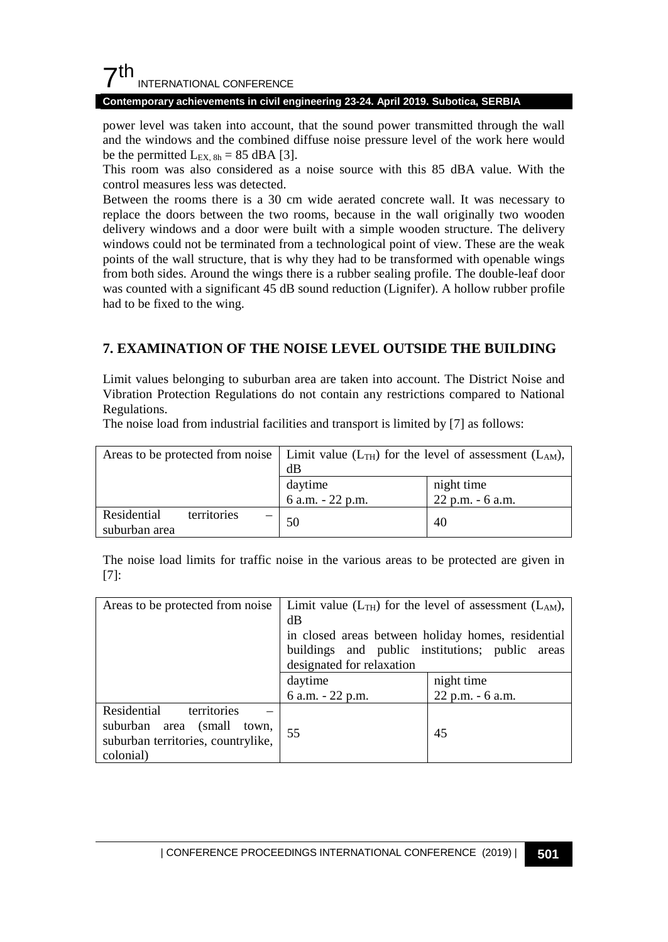## $7<sup>th</sup>$ INTERNATIONAL CONFERENCE

#### **Contemporary achievements in civil engineering 23-24. April 2019. Subotica, SERBIA**

power level was taken into account, that the sound power transmitted through the wall and the windows and the combined diffuse noise pressure level of the work here would be the permitted  $L_{EX, 8h} = 85$  dBA [3].

This room was also considered as a noise source with this 85 dBA value. With the control measures less was detected.

Between the rooms there is a 30 cm wide aerated concrete wall. It was necessary to replace the doors between the two rooms, because in the wall originally two wooden delivery windows and a door were built with a simple wooden structure. The delivery windows could not be terminated from a technological point of view. These are the weak points of the wall structure, that is why they had to be transformed with openable wings from both sides. Around the wings there is a rubber sealing profile. The double-leaf door was counted with a significant 45 dB sound reduction (Lignifer). A hollow rubber profile had to be fixed to the wing.

## **7. EXAMINATION OF THE NOISE LEVEL OUTSIDE THE BUILDING**

Limit values belonging to suburban area are taken into account. The District Noise and Vibration Protection Regulations do not contain any restrictions compared to National Regulations.

The noise load from industrial facilities and transport is limited by [7] as follows:

|                                             |   | Areas to be protected from noise   Limit value $(L_{TH})$ for the level of assessment $(L_{AM})$ ,<br>dB |                                |
|---------------------------------------------|---|----------------------------------------------------------------------------------------------------------|--------------------------------|
|                                             |   | daytime<br>6 a.m. $-22$ p.m.                                                                             | night time<br>22 p.m. - 6 a.m. |
| territories<br>Residential<br>suburban area | - | 50                                                                                                       | 40                             |

The noise load limits for traffic noise in the various areas to be protected are given in [7]:

| Areas to be protected from noise   | Limit value $(L_{TH})$ for the level of assessment $(L_{AM})$ , |                  |  |
|------------------------------------|-----------------------------------------------------------------|------------------|--|
|                                    | dB                                                              |                  |  |
|                                    | in closed areas between holiday homes, residential              |                  |  |
|                                    | buildings and public institutions; public areas                 |                  |  |
|                                    | designated for relaxation                                       |                  |  |
|                                    | daytime                                                         | night time       |  |
|                                    | 6 a.m. - 22 p.m.                                                | 22 p.m. - 6 a.m. |  |
| Residential<br>territories         |                                                                 |                  |  |
| suburban<br>area (small town,      | 55                                                              | 45               |  |
| suburban territories, countrylike, |                                                                 |                  |  |
| colonial)                          |                                                                 |                  |  |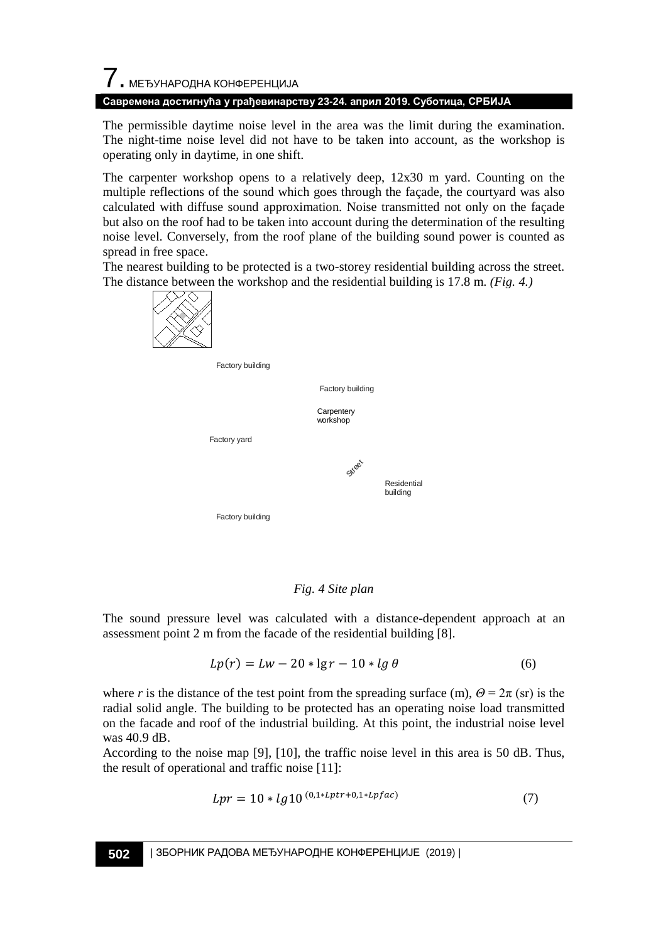# $\overline{\phantom{a}}$ . МЕЂУНАРОДНА КОНФЕРЕНЦИЈА

**Савремена достигнућа у грађевинарству 23-24. април 2019. Суботица, СРБИЈА**

The permissible daytime noise level in the area was the limit during the examination. The night-time noise level did not have to be taken into account, as the workshop is operating only in daytime, in one shift.

The carpenter workshop opens to a relatively deep, 12x30 m yard. Counting on the multiple reflections of the sound which goes through the façade, the courtyard was also calculated with diffuse sound approximation. Noise transmitted not only on the façade but also on the roof had to be taken into account during the determination of the resulting noise level. Conversely, from the roof plane of the building sound power is counted as spread in free space.

The nearest building to be protected is a two-storey residential building across the street. The distance between the workshop and the residential building is 17.8 m. *(Fig. 4.)* 



Street Factory yard Factory building Factory building Factory building **Carpentery** workshop Residential building

#### *Fig. 4 Site plan*

The sound pressure level was calculated with a distance-dependent approach at an assessment point 2 m from the facade of the residential building [8].

$$
Lp(r) = Lw - 20 * \lg r - 10 * \lg \theta \tag{6}
$$

where *r* is the distance of the test point from the spreading surface (m),  $\Theta = 2\pi$  (sr) is the radial solid angle. The building to be protected has an operating noise load transmitted on the facade and roof of the industrial building. At this point, the industrial noise level was 40.9 dB.

According to the noise map [9], [10], the traffic noise level in this area is 50 dB. Thus, the result of operational and traffic noise [11]:

$$
Lpr = 10 * lg10(0,1 * Lptr + 0,1 * Lpfac)
$$
 (7)